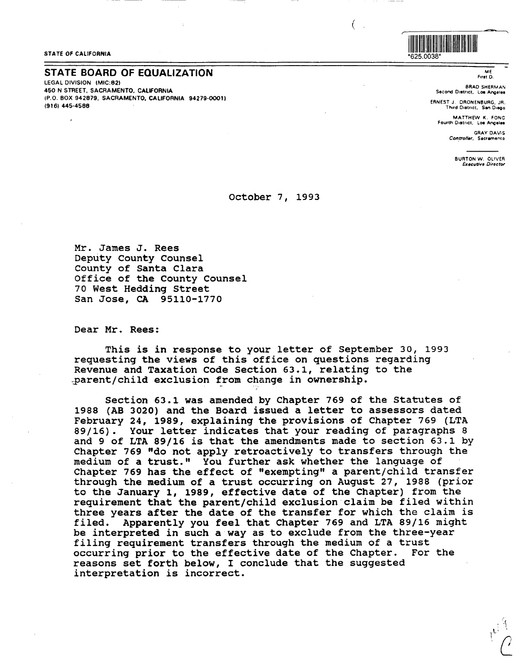## \*625.0038\* **STATE OF CALIFORNIA**

## **STATE BOARD OF EQUALIZATION**

LEGAL DIVISION (MIC:821 450 N STREET. SACRAMENTO. **CALIFORNIA**  (P.O. BOX 942879, SACRAMENTO, CALIFORNIA 94279-00011 (9161 **445-4588** 



*f*  (

ME First D.

BRAD SHERMAN Second District, Los Angeles

ERNEST J. ORONENBURG, JR. Third District. San Diego

MATTHEW K. FONG fourth 011t11ct. Lo• **Angeles** 

> **GRAY DAVIS** Controller, Sacramento

> > BURTON W. OLIVER *&,cutive Director*

## October 7, 1993

Mr. James J. Rees Deputy County Counsel County of Santa Clara Office of the County Counsel 70 West Hedding Street San Jose, CA 95110-1770

Dear Mr. Rees:

This is in response to your letter of September 30, 1993 requesting the views of this office on questions regarding Revenue and Taxation Code Section 63.1, relating to the .\_parent/child exclusion from change in ownership.

Section 63.l was amended by Chapter 769 of the Statutes of 1988 (AB 3020) and the Board issued a letter to assessors dated February 24, 1989, explaining the provisions of Chapter 769 (LTA 89/16). Your letter indicates that your reading of paragraphs 8 and 9 of LTA 89/16 is that the amendments made to section 63.1 by Chapter 769 "do not apply retroactively to transfers through the medium of a trust." You further ask whether the language of Chapter 769 has the effect of "exempting" a parent/child transfer through the medium of a trust occurring on August 27, 1988 (prior to the January 1, 1989, effective date of the Chapter) from the requirement that the parent/child exclusion claim be filed within three years after the date of the transfer for which the claim is filed. Apparently you feel that Chapter 769 and LTA 89/16 might be interpreted in such **a way** as to exclude from the three-year filing requirement transfers through the medium of a trust occurring prior to the effective date of the Chapter. For the reasons set forth below, I conclude that the suggested interpretation is incorrect.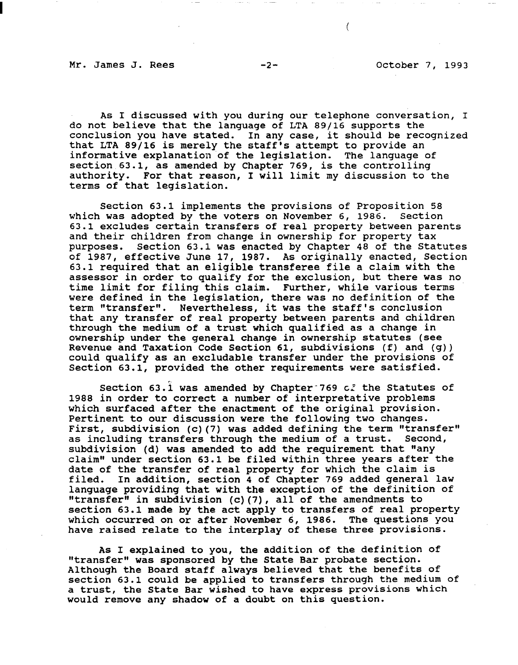Mr. James J. Rees -2- October 7, 1993

As I discussed with you during our telephone conversation, I do not believe that the language of LTA 89/16 supports the conclusion you have stated. In any case, it should be recognized that LTA 89/16 is merely the staff's attempt to provide an informative explanation of the legislation. The language of section 63.1, as amended by Chapter 769, is the controlling authority. For that reason, I will limit my discussion to the terms of that legislation.

Section 63.1 implements the provisions of Proposition 58 which was adopted by the voters on November 6, 1986. Section 63.1 excludes certain transfers of real property between parents and their children from change in ownership for property tax purposes. Section 63.1 was enacted by Chapter 48 of the Sta Section 63.1 was enacted by Chapter 48 of the Statutes of 1987, effective June 17, 1987. As originally enacted, Section 63.1 required that an eligible transferee file a claim with the assessor in order to qualify for the exclusion, but there was no time limit for filing this claim. Further, while various terms were defined in the legislation, there was no definition of the term "transfer". Nevertheless, it was the staff's conclusion that any transfer of real property between parents and children through the medium of a trust which qualified as a change in ownership under the general change in ownership statutes (see Revenue and Taxation Code Section 61, subdivisions (f) and (g)) could qualify as an excludable transfer under the provisions of Section 63.1, provided the other requirements were satisfied.

Section 63.1 was amended by Chapter-769 c. the Statutes of 1988 in order to correct a number of interpretative problems which surfaced after the enactment of the original provision. Pertinent to our discussion were the following two changes. First, subdivision (c)(7) was added defining the term "transfer"<br>as including transfers through the medium of a trust. Second, as including transfers through the medium of a trust. subdivision (d) was amended to add the requirement that "any claim" under section 63.1 be filed within three years after the date of the transfer of real property for which the claim is<br>filed. In addition, section 4 of Chapter 769 added general In addition, section 4 of Chapter 769 added general law language providing that with the exception of the definition of "transfer" in subdivision (c)(7), all of the amendments to section 63.1 made by the act apply to transfers of real property which occurred on or after November 6, 1986. The questions you have raised relate to the interplay of these three provisions.

As I explained to you, the addition of the definition of "transfer" was sponsored by the state Bar probate section. Although the Board staff always believed that the benefits of section 63.1 could be applied to transfers through the medium of a trust, the state Bar wished to have express provisions which would remove any shadow of a doubt on this question.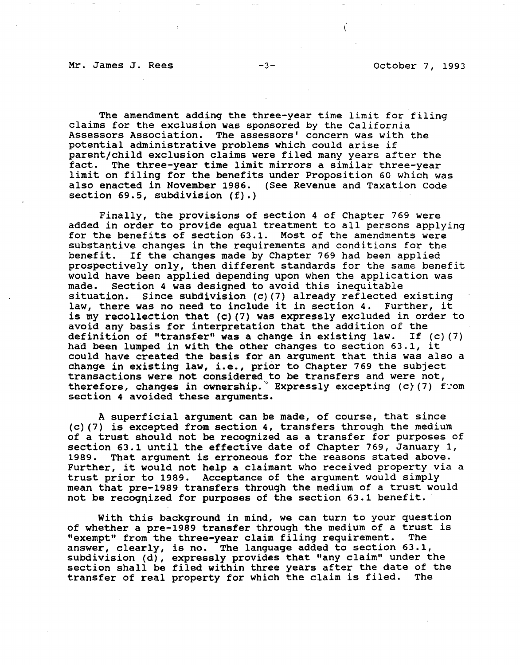Mr. James J. Rees -3- -3- October 7, 1993

ť

The amendment adding the three-year time limit for filing claims for the exclusion was sponsored by the California<br>Assessors Association. The assessors' concern was with The assessors' concern was with the potential administrative problems which could arise if parent/child exclusion claims were filed many years after the<br>fact. The three-year time limit mirrors a similar three-year The three-year time limit mirrors a similar three-year limit on filing for the benefits under Proposition 60 which was also enacted in November 1986. (See Revenue and Taxation Code section 69.5, subdivision (f).)

Finally, the provisions of section 4 of Chapter 769 were added in order to provide equal treatment to all persons applying for the benefits of section 63.1. Most of the amendments were substantive changes in the requirements and conditions for the benefit. If the changes made by Chapter 769 had been applied If the changes made by Chapter 769 had been applied prospectively only, then different standards for the same benefit would have been applied depending upon when the application was<br>made. Section 4 was designed to avoid this inequitable made. Section 4 was designed to avoid this inequitable Since subdivision (c)(7) already reflected existing law, there was no need to include it in section 4. Further, it is my recollection that (c)(7) was expressly excluded in order to avoid any basis for interpretation that the addition of the definition of "transfer" **was a** change in existing law. If (c} (7) had been lumped in with the other changes to section 63.1, it could have created the basis for an argument that this was also a change in existing law, i.e., prior to Chapter 769 the subject transactions were not considered to be transfers and were not, therefore, changes in ownership. Expressly excepting (c)(7) from section 4 avoided these arguments.

A superficial argument can be made, of course, that since (c) (7) is excepted from section 4, transfers through the medium of a trust should not be recognized as a transfer for purposes of section 63.1 until the effective date of Chapter 769, January 1,<br>1989. That argument is erroneous for the reasons stated above. That argument is erroneous for the reasons stated above. Further, it would not help a claimant who received property via a trust prior to 1989. Acceptance of the argument would simply mean that pre-1989 transfers through the medium of a trust would not be recognized for purposes of the section 63.1 benefit.

With this background in mind, we can turn to your question of whether a pre-1989 transfer through the medium of a trust is<br>"exempt" from the three-year claim filing requirement. The "exempt" from the three-year claim filing requirement. answer, clearly, is no. The language added to section 63.1, subdivision (d), expressly provides that "any claim" under the section shall be filed within three years after the date of the<br>transfer of real property for which the claim is filed. The transfer of real property for which the claim is filed.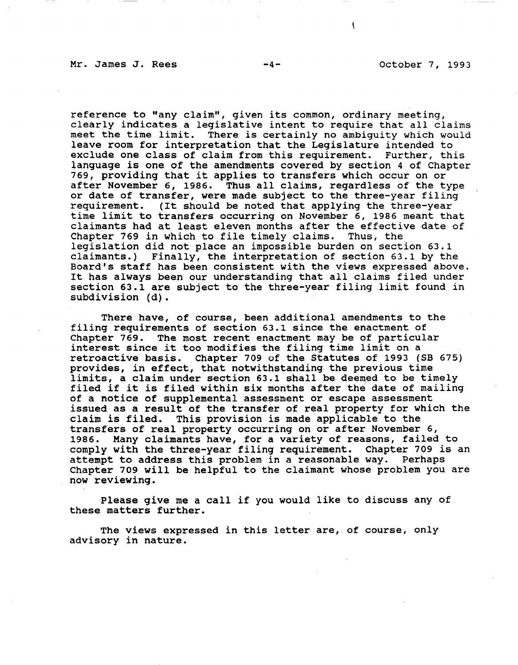€

reference to "any claim", given its common, ordinary meeting, clearly indicates a legislative intent to require that all claims meet the time limit. There is certainly no ambiguity which would leave room for interpretation that the Legislature intended to exclude one class of claim from this requirement. Further, this language is one of the amendments covered by section 4 of Chapter 769, providing that it applies to transfers which occur on or after November 6, 1986. Thus all claims, regardless of the type or date of transfer, were made subject to the three-year filing<br>requirement. (It should be noted that applying the three-year (It should be noted that applying the three-year time limit to transfers occurring on November 6, 1986 meant that claimants had at least eleven months after the effective date of<br>Chapter 769 in which to file timely claims. Thus, the Chapter 769 in which to file timely claims. legislation did not place an impossible burden on section 63.1 claimants.) Finally, the interpretation of section 63.1 by the Board's staff has been consistent with the views expressed above. It has always been our understanding that all claims filed under section 63.1 are subject to the three-year filing limit found in subdivision (d).

There have, of course, been additional amendments to the filing requirements of section 63.1 since the enactment of Chapter 769. The most recent enactment may be of particular interest since it too modifies the filing time limit on a retroactive basis. Chapter 709 of the Statutes of 1993 (SB 675) provides, in effect, that notwithstanding the previous time limits, a claim under section 63.1 shall be deemed to be timely filed if it is filed within six months after the date of mailing of a notice of supplemental assessment or escape assessment issued as a result of the transfer of real property for which the claim is filed. This provision is made applicable to the transfers of real property occurring on or after November 6, 1986. Many claimants have, for a variety of reasons, failed to comply with the three-year filing requirement. Chapter 709 is an attempt to address this problem in a reasonable way. Perhaps Chapter 709 will be helpful to the claimant whose problem you are now reviewing.

Please give me a call if you would like to discuss any of these matters further.

The views expressed in this letter are, of course, only advisory in nature.